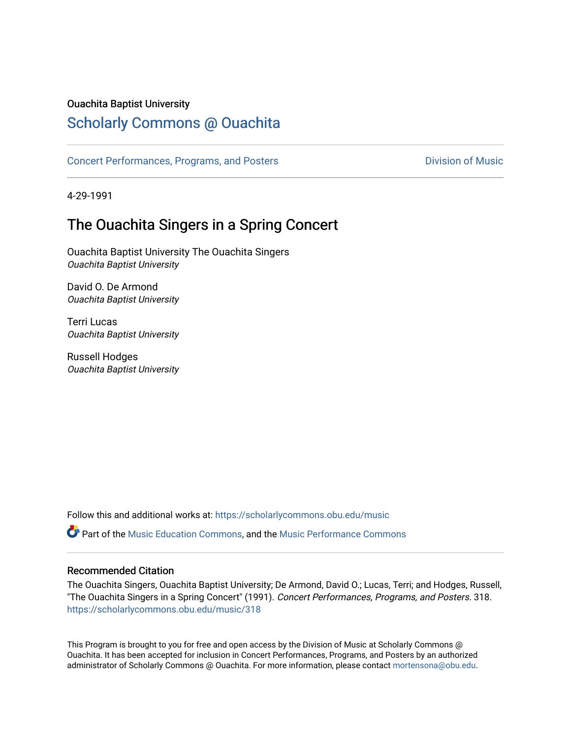### Ouachita Baptist University

# [Scholarly Commons @ Ouachita](https://scholarlycommons.obu.edu/)

[Concert Performances, Programs, and Posters](https://scholarlycommons.obu.edu/music) **Division of Music** Division of Music

4-29-1991

# The Ouachita Singers in a Spring Concert

Ouachita Baptist University The Ouachita Singers Ouachita Baptist University

David O. De Armond Ouachita Baptist University

Terri Lucas Ouachita Baptist University

Russell Hodges Ouachita Baptist University

Follow this and additional works at: [https://scholarlycommons.obu.edu/music](https://scholarlycommons.obu.edu/music?utm_source=scholarlycommons.obu.edu%2Fmusic%2F318&utm_medium=PDF&utm_campaign=PDFCoverPages) 

**C** Part of the [Music Education Commons,](http://network.bepress.com/hgg/discipline/1246?utm_source=scholarlycommons.obu.edu%2Fmusic%2F318&utm_medium=PDF&utm_campaign=PDFCoverPages) and the Music Performance Commons

### Recommended Citation

The Ouachita Singers, Ouachita Baptist University; De Armond, David O.; Lucas, Terri; and Hodges, Russell, "The Ouachita Singers in a Spring Concert" (1991). Concert Performances, Programs, and Posters. 318. [https://scholarlycommons.obu.edu/music/318](https://scholarlycommons.obu.edu/music/318?utm_source=scholarlycommons.obu.edu%2Fmusic%2F318&utm_medium=PDF&utm_campaign=PDFCoverPages) 

This Program is brought to you for free and open access by the Division of Music at Scholarly Commons @ Ouachita. It has been accepted for inclusion in Concert Performances, Programs, and Posters by an authorized administrator of Scholarly Commons @ Ouachita. For more information, please contact [mortensona@obu.edu](mailto:mortensona@obu.edu).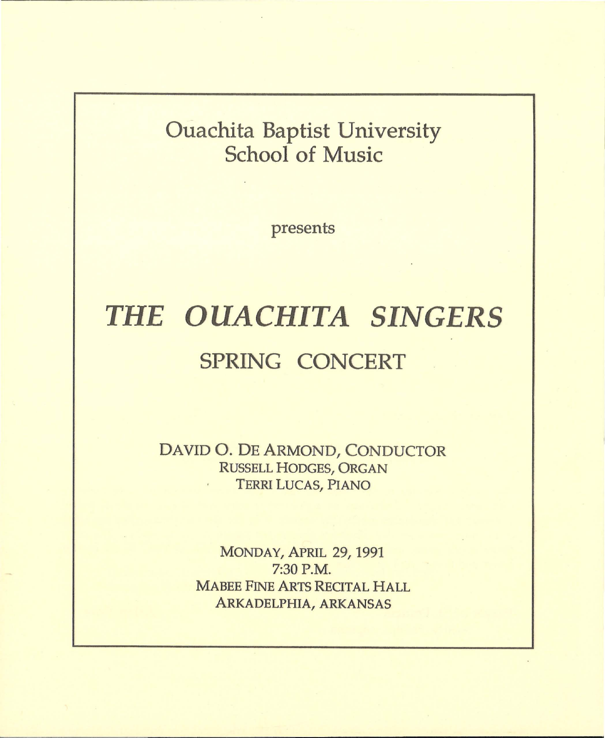# **Ouachita Baptist University School of Music**

presents

# *THE OUACHITA SINGERS*  **SPRING CONCERT**

DAVID 0. DE ARMOND, CONDUCTOR RUSSELL HODGES, ORGAN TERRI LUCAS, PIANO

> MONDAY, APRIL 29, 1991 7:30P.M. MABEE FINE ARTS RECITAL HALL ARKADELPHIA, ARKANSAS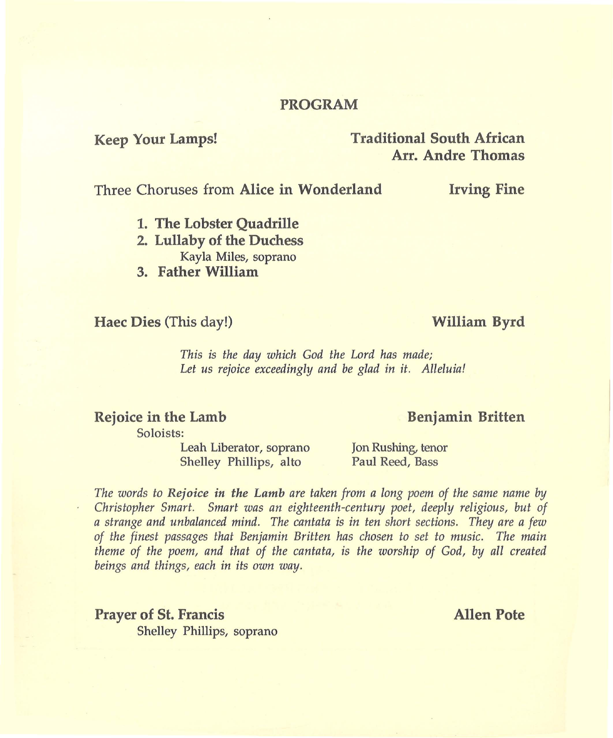### **PROGRAM**

### **Keep Your Lamps! Traditional South African Arr. Andre Thomas**

Three Choruses from **Alice in Wonderland Irving Fine** 

- **1. The Lobster Quadrille**
- **2. Lullaby of the Duchess**  Kayla Miles, soprano
- **3. Father William**

### **Haec Dies** (This day!) **William Byrd**

*This is the day which God the Lord has made; Let us rejoice exceedingly and be glad in it. Alleluia!* 

### **Rejoice in the Lamb**

Soloists:

Leah Liberator, soprano Shelley Phillips, alto

Jon Rushing, tenor Paul Reed, Bass

*The words to Rejoice in the Lamb are taken from a long poem of the same name by Christopher Smart. Smart was an eighteenth-centun; poet, deeply religious, but of a strange and unbalanced mind. The cantata is in ten short sections. They are a few of the finest passages that Benjamin Britten has chosen to set to music. The main theme of the poem, and that of the cantata, is the worship of God, by all created beings and things, each in its own way.* 

**Prayer of St. Francis Allen Pote** Shelley Phillips, soprano

### **Benjamin Britten**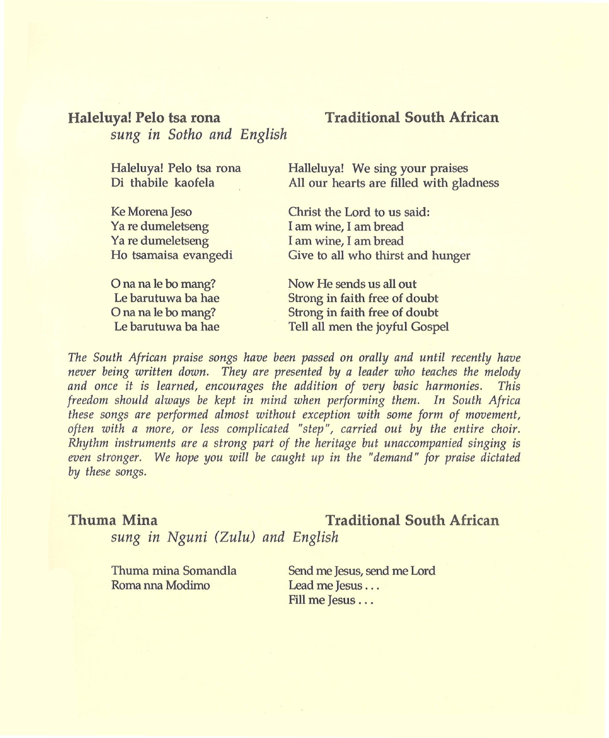### **Haleluya! Pelo tsa rona**  *sung in Sotho and English*

### **Traditional South African**

| Haleluya! Pelo tsa rona | Halleluya! We sing your praises         |
|-------------------------|-----------------------------------------|
| Di thabile kaofela      | All our hearts are filled with gladness |
|                         |                                         |
| Ke Morena Jeso          | Christ the Lord to us said:             |
| Ya re dumeletseng       | I am wine, I am bread                   |
| Ya re dumeletseng       | I am wine, I am bread                   |
| Ho tsamaisa evangedi    | Give to all who thirst and hunger       |
| O na na le bo mang?     | Now He sends us all out                 |
| Le harutuwa ha hae      | Strong in faith free of doubt           |

Le barutuwa ba hae O na na le bo mang? Le barutuwa ba hae

Strong in faith free of doubt Strong in faith free of doubt Tell all men the joyful Gospel

*The South African praise songs have been passed on orally and until recently have never being written down. They are presented by a leader who teaches the melody and once it* is *learned, encourages the addition of very basic harmonies. This freedom should always be kept in mind when performing them. In South Africa these songs are performed almost without exception with some form of movement, often with a more, or less complicated "step", carried out by the entire choir. Rhythm instruments are a strong part of the heritage but unaccompanied singing* is *even stronger. We hope you will be caught up in the "demand" for praise dictated by these songs.* 

## **Thuma Mina Traditional South African**

*sung in Nguni (Zulu) and English* 

Thuma mina Somandla Roma nna Modimo Send me Jesus, send me Lord Lead me Jesus ... Fill me Jesus . . .